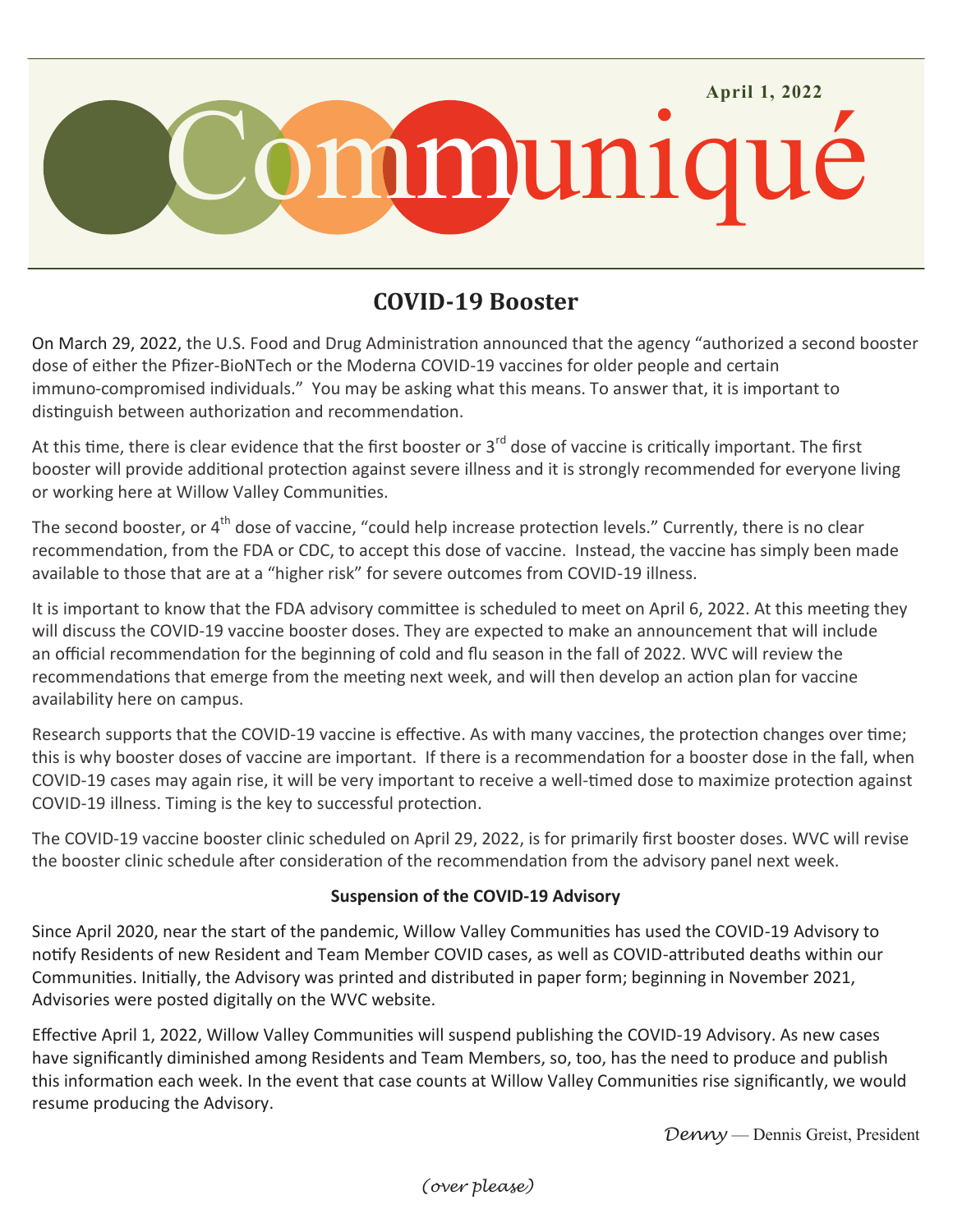

## **COVID-19 Booster**

On March 29, 2022, the U.S. Food and Drug Administration announced that the agency "authorized a second booster dose of either the Pfizer-BioNTech or the Moderna COVID-19 vaccines for older people and certain immuno-compromised individuals." You may be asking what this means. To answer that, it is important to distinguish between authorization and recommendation.

At this time, there is clear evidence that the first booster or  $3^{rd}$  dose of vaccine is critically important. The first booster will provide additional protection against severe illness and it is strongly recommended for everyone living or working here at Willow Valley Communities.

The second booster, or 4<sup>th</sup> dose of vaccine, "could help increase protection levels." Currently, there is no clear recommendation, from the FDA or CDC, to accept this dose of vaccine. Instead, the vaccine has simply been made available to those that are at a "higher risk" for severe outcomes from COVID-19 illness.

It is important to know that the FDA advisory committee is scheduled to meet on April 6, 2022. At this meeting they will discuss the COVID-19 vaccine booster doses. They are expected to make an announcement that will include an official recommendation for the beginning of cold and flu season in the fall of 2022. WVC will review the recommendations that emerge from the meeting next week, and will then develop an action plan for vaccine availability here on campus.

Research supports that the COVID-19 vaccine is effective. As with many vaccines, the protection changes over time; this is why booster doses of vaccine are important. If there is a recommendation for a booster dose in the fall, when COVID-19 cases may again rise, it will be very important to receive a well-timed dose to maximize protection against COVID-19 illness. Timing is the key to successful protection.

The COVID-19 vaccine booster clinic scheduled on April 29, 2022, is for primarily first booster doses. WVC will revise the booster clinic schedule after consideration of the recommendation from the advisory panel next week.

## **Suspension of the COVID-19 Advisory**

Since April 2020, near the start of the pandemic, Willow Valley Communities has used the COVID-19 Advisory to notify Residents of new Resident and Team Member COVID cases, as well as COVID-attributed deaths within our Communities. Initially, the Advisory was printed and distributed in paper form; beginning in November 2021, Advisories were posted digitally on the WVC website.

Effective April 1, 2022, Willow Valley Communities will suspend publishing the COVID-19 Advisory. As new cases have significantly diminished among Residents and Team Members, so, too, has the need to produce and publish this information each week. In the event that case counts at Willow Valley Communities rise significantly, we would resume producing the Advisory.